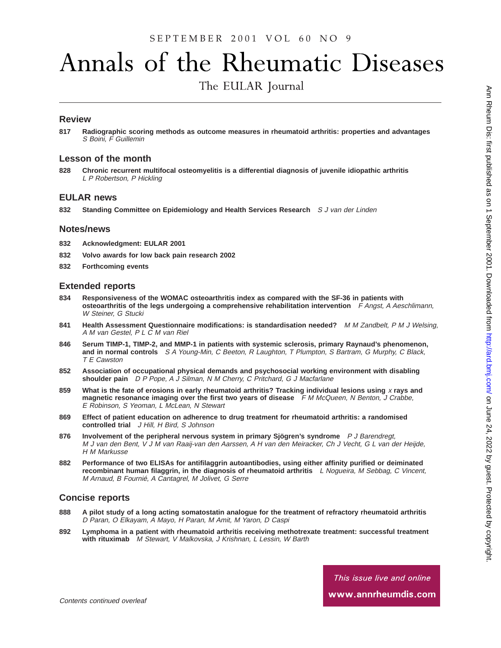# Annals of the Rheumatic Diseases

The EULAR Journal

## **Review**

**817 Radiographic scoring methods as outcome measures in rheumatoid arthritis: properties and advantages** S Boini, F Guillemin

## **Lesson of the month**

**828 Chronic recurrent multifocal osteomyelitis is a differential diagnosis of juvenile idiopathic arthritis** L P Robertson, P Hickling

#### **EULAR news**

**832 Standing Committee on Epidemiology and Health Services Research** S J van der Linden

#### **Notes/news**

- **832 Acknowledgment: EULAR 2001**
- **832 Volvo awards for low back pain research 2002**
- **832 Forthcoming events**

#### **Extended reports**

- **834 Responsiveness of the WOMAC osteoarthritis index as compared with the SF-36 in patients with osteoarthritis of the legs undergoing a comprehensive rehabilitation intervention** <sup>F</sup> Angst, <sup>A</sup> Aeschlimann, W Steiner, G Stucki
- **841 Health Assessment Questionnaire modifications: is standardisation needed?** <sup>M</sup> <sup>M</sup> Zandbelt, <sup>P</sup> <sup>M</sup> J Welsing, A M van Gestel, P L C M van Riel
- **846 Serum TIMP-1, TIMP-2, and MMP-1 in patients with systemic sclerosis, primary Raynaud's phenomenon, and in normal controls** S <sup>A</sup> Young-Min, C Beeton, <sup>R</sup> Laughton, <sup>T</sup> Plumpton, S Bartram, G Murphy, C Black, T E Cawston
- **852 Association of occupational physical demands and psychosocial working environment with disabling shoulder pain** D P Pope, A J Silman, N M Cherry, C Pritchard, G J Macfarlane
- **859 What is the fate of erosions in early rheumatoid arthritis? Tracking individual lesions using** <sup>x</sup> **rays and magnetic resonance imaging over the first two years of disease** F M McQueen, N Benton, J Crabbe, E Robinson, S Yeoman, L McLean, N Stewart
- **869 Effect of patient education on adherence to drug treatment for rheumatoid arthritis: a randomised controlled trial** J Hill, H Bird, S Johnson
- **876 Involvement of the peripheral nervous system in primary Sjögren's syndrome** <sup>P</sup> J Barendregt, M J van den Bent, V J M van Raaij-van den Aarssen, A H van den Meiracker, Ch J Vecht, G L van der Heijde, H M Markusse
- **882 Performance of two ELISAs for antifilaggrin autoantibodies, using either affinity purified or deiminated recombinant human filaggrin, in the diagnosis of rheumatoid arthritis** <sup>L</sup> Nogueira, <sup>M</sup> Sebbag, C Vincent, M Arnaud, B Fournié, A Cantagrel, M Jolivet, G Serre

#### **Concise reports**

- **888 A pilot study of a long acting somatostatin analogue for the treatment of refractory rheumatoid arthritis** D Paran, O Elkayam, A Mayo, H Paran, M Amit, M Yaron, D Caspi
- **892 Lymphoma in a patient with rheumatoid arthritis receiving methotrexate treatment: successful treatment with rituximab** M Stewart, V Malkovska, J Krishnan, L Lessin, W Barth

This issue live and online www.annrheumdis.com